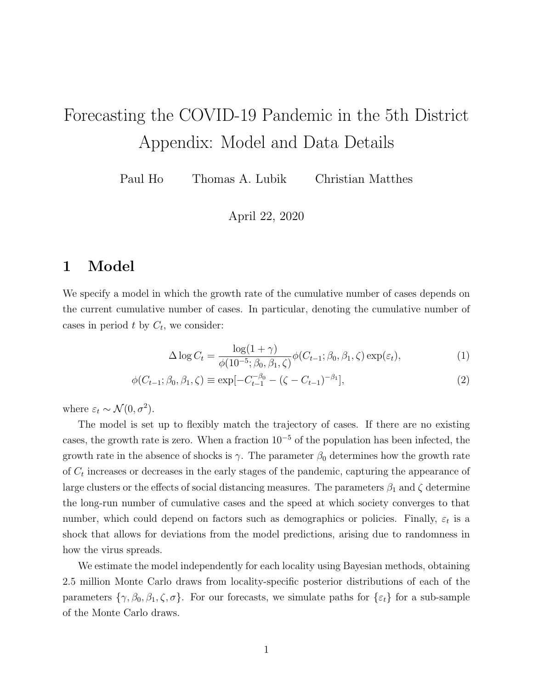## Forecasting the COVID-19 Pandemic in the 5th District Appendix: Model and Data Details

Paul Ho Thomas A. Lubik Christian Matthes

April 22, 2020

## 1 Model

We specify a model in which the growth rate of the cumulative number of cases depends on the current cumulative number of cases. In particular, denoting the cumulative number of cases in period  $t$  by  $C_t$ , we consider:

$$
\Delta \log C_t = \frac{\log(1+\gamma)}{\phi(10^{-5}; \beta_0, \beta_1, \zeta)} \phi(C_{t-1}; \beta_0, \beta_1, \zeta) \exp(\varepsilon_t),\tag{1}
$$

$$
\phi(C_{t-1}; \beta_0, \beta_1, \zeta) \equiv \exp[-C_{t-1}^{-\beta_0} - (\zeta - C_{t-1})^{-\beta_1}], \tag{2}
$$

where  $\varepsilon_t \sim \mathcal{N}(0, \sigma^2)$ .

The model is set up to flexibly match the trajectory of cases. If there are no existing cases, the growth rate is zero. When a fraction  $10^{-5}$  of the population has been infected, the growth rate in the absence of shocks is  $\gamma$ . The parameter  $\beta_0$  determines how the growth rate of  $C_t$  increases or decreases in the early stages of the pandemic, capturing the appearance of large clusters or the effects of social distancing measures. The parameters  $\beta_1$  and  $\zeta$  determine the long-run number of cumulative cases and the speed at which society converges to that number, which could depend on factors such as demographics or policies. Finally,  $\varepsilon_t$  is a shock that allows for deviations from the model predictions, arising due to randomness in how the virus spreads.

We estimate the model independently for each locality using Bayesian methods, obtaining 2.5 million Monte Carlo draws from locality-specific posterior distributions of each of the parameters  $\{\gamma, \beta_0, \beta_1, \zeta, \sigma\}$ . For our forecasts, we simulate paths for  $\{\varepsilon_t\}$  for a sub-sample of the Monte Carlo draws.